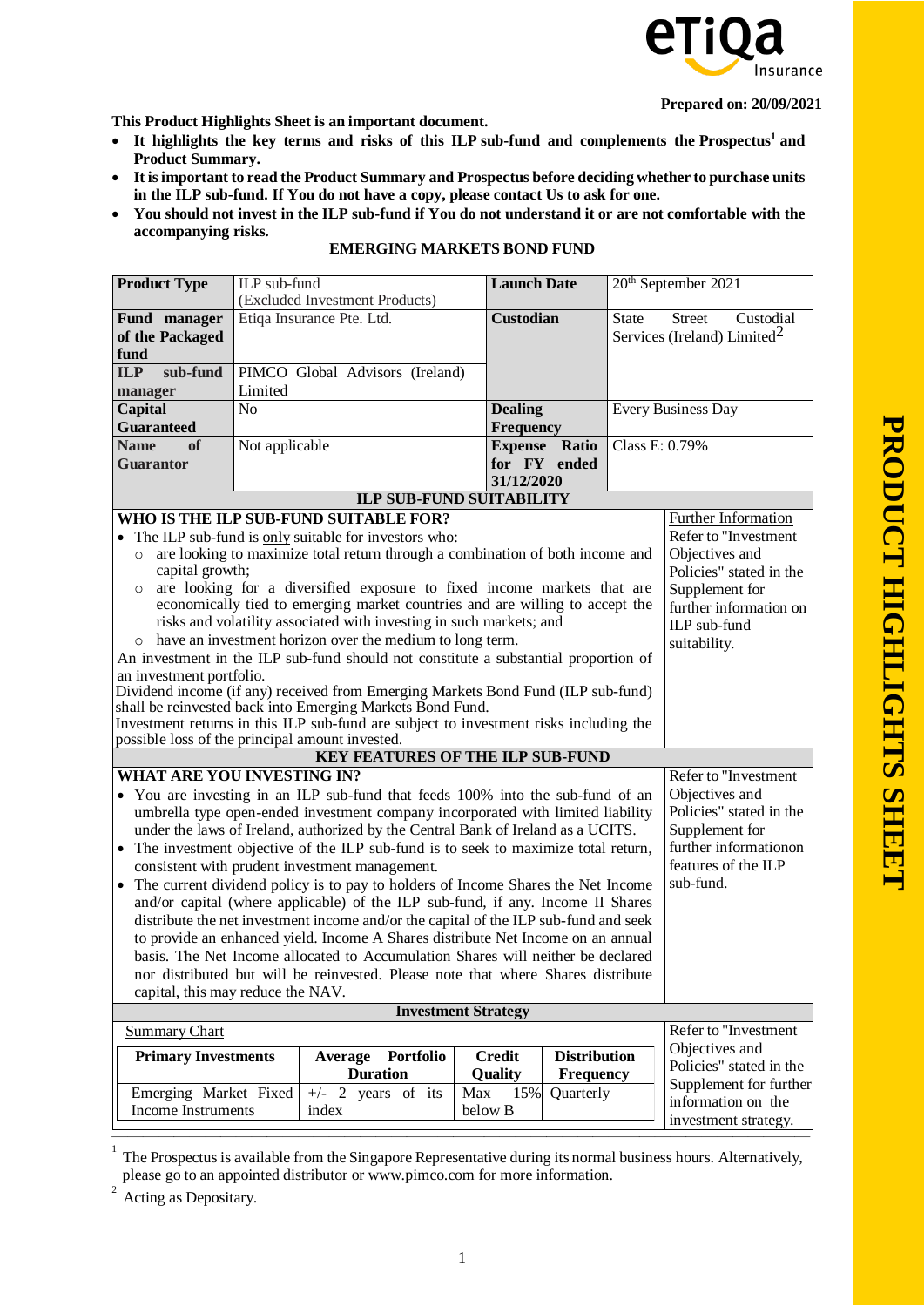

**Prepared on: 20/09/2021**

**This Product Highlights Sheet is an important document.**

- **It highlights the key terms and risks of this ILP sub-fund and complements the Prospectu[s](#page-0-0)<sup>1</sup> and Product Summary.**
- **It isimportant to read the Product Summary and Prospectus before deciding whether to purchase units in the ILP sub-fund. If You do not have a copy, please contact Us to ask for one.**
- You should not invest in the ILP sub-fund if You do not understand it or are not comfortable with the **accompanying risks.**

| <b>Product Type</b>                                                                                                                                                   | ILP sub-fund<br>(Excluded Investment Products)                                   |                                                                                                                                               |                  | <b>Launch Date</b>  |                    | 20 <sup>th</sup> September 2021                                       |  |
|-----------------------------------------------------------------------------------------------------------------------------------------------------------------------|----------------------------------------------------------------------------------|-----------------------------------------------------------------------------------------------------------------------------------------------|------------------|---------------------|--------------------|-----------------------------------------------------------------------|--|
| Fund manager<br>of the Packaged<br>fund                                                                                                                               | Etiqa Insurance Pte. Ltd.                                                        |                                                                                                                                               | <b>Custodian</b> |                     | <b>State</b>       | <b>Street</b><br>Custodial<br>Services (Ireland) Limited <sup>2</sup> |  |
| sub-fund<br>ILP                                                                                                                                                       | PIMCO Global Advisors (Ireland)                                                  |                                                                                                                                               |                  |                     |                    |                                                                       |  |
| manager                                                                                                                                                               | Limited                                                                          |                                                                                                                                               |                  |                     |                    |                                                                       |  |
| N <sub>o</sub><br><b>Dealing</b><br><b>Capital</b><br><b>Frequency</b><br><b>Guaranteed</b>                                                                           |                                                                                  |                                                                                                                                               |                  |                     | Every Business Day |                                                                       |  |
| of<br><b>Name</b>                                                                                                                                                     | Not applicable<br><b>Expense Ratio</b>                                           |                                                                                                                                               |                  |                     | Class E: 0.79%     |                                                                       |  |
| <b>Guarantor</b>                                                                                                                                                      | for FY ended<br>31/12/2020                                                       |                                                                                                                                               |                  |                     |                    |                                                                       |  |
|                                                                                                                                                                       |                                                                                  | <b>ILP SUB-FUND SUITABILITY</b>                                                                                                               |                  |                     |                    |                                                                       |  |
|                                                                                                                                                                       |                                                                                  | WHO IS THE ILP SUB-FUND SUITABLE FOR?                                                                                                         |                  |                     |                    | Further Information                                                   |  |
|                                                                                                                                                                       |                                                                                  | • The ILP sub-fund is only suitable for investors who:                                                                                        |                  |                     |                    | Refer to "Investment                                                  |  |
| $\circ$<br>capital growth;                                                                                                                                            |                                                                                  | are looking to maximize total return through a combination of both income and                                                                 |                  |                     |                    | Objectives and<br>Policies" stated in the                             |  |
| $\circ$                                                                                                                                                               |                                                                                  | are looking for a diversified exposure to fixed income markets that are                                                                       |                  |                     |                    | Supplement for                                                        |  |
|                                                                                                                                                                       |                                                                                  | economically tied to emerging market countries and are willing to accept the                                                                  |                  |                     |                    | further information on                                                |  |
|                                                                                                                                                                       |                                                                                  | risks and volatility associated with investing in such markets; and                                                                           |                  |                     |                    | ILP sub-fund                                                          |  |
| $\circ$                                                                                                                                                               |                                                                                  | have an investment horizon over the medium to long term.                                                                                      |                  |                     |                    | suitability.                                                          |  |
|                                                                                                                                                                       |                                                                                  | An investment in the ILP sub-fund should not constitute a substantial proportion of                                                           |                  |                     |                    |                                                                       |  |
| an investment portfolio.                                                                                                                                              |                                                                                  |                                                                                                                                               |                  |                     |                    |                                                                       |  |
|                                                                                                                                                                       |                                                                                  | Dividend income (if any) received from Emerging Markets Bond Fund (ILP sub-fund)<br>shall be reinvested back into Emerging Markets Bond Fund. |                  |                     |                    |                                                                       |  |
|                                                                                                                                                                       |                                                                                  | Investment returns in this ILP sub-fund are subject to investment risks including the                                                         |                  |                     |                    |                                                                       |  |
| possible loss of the principal amount invested.                                                                                                                       |                                                                                  |                                                                                                                                               |                  |                     |                    |                                                                       |  |
|                                                                                                                                                                       |                                                                                  | <b>KEY FEATURES OF THE ILP SUB-FUND</b>                                                                                                       |                  |                     |                    |                                                                       |  |
| WHAT ARE YOU INVESTING IN?                                                                                                                                            |                                                                                  |                                                                                                                                               |                  |                     |                    | Refer to "Investment                                                  |  |
|                                                                                                                                                                       |                                                                                  | • You are investing in an ILP sub-fund that feeds 100% into the sub-fund of an                                                                |                  |                     |                    | Objectives and                                                        |  |
|                                                                                                                                                                       |                                                                                  | umbrella type open-ended investment company incorporated with limited liability                                                               |                  |                     |                    | Policies" stated in the                                               |  |
|                                                                                                                                                                       |                                                                                  | under the laws of Ireland, authorized by the Central Bank of Ireland as a UCITS.                                                              |                  |                     |                    | Supplement for                                                        |  |
|                                                                                                                                                                       |                                                                                  | • The investment objective of the ILP sub-fund is to seek to maximize total return,                                                           |                  |                     |                    | further informationon                                                 |  |
|                                                                                                                                                                       |                                                                                  | consistent with prudent investment management.                                                                                                |                  |                     |                    | features of the ILP<br>sub-fund.                                      |  |
| • The current dividend policy is to pay to holders of Income Shares the Net Income<br>and/or capital (where applicable) of the ILP sub-fund, if any. Income II Shares |                                                                                  |                                                                                                                                               |                  |                     |                    |                                                                       |  |
| distribute the net investment income and/or the capital of the ILP sub-fund and seek                                                                                  |                                                                                  |                                                                                                                                               |                  |                     |                    |                                                                       |  |
|                                                                                                                                                                       | to provide an enhanced yield. Income A Shares distribute Net Income on an annual |                                                                                                                                               |                  |                     |                    |                                                                       |  |
| basis. The Net Income allocated to Accumulation Shares will neither be declared                                                                                       |                                                                                  |                                                                                                                                               |                  |                     |                    |                                                                       |  |
| nor distributed but will be reinvested. Please note that where Shares distribute                                                                                      |                                                                                  |                                                                                                                                               |                  |                     |                    |                                                                       |  |
| capital, this may reduce the NAV.                                                                                                                                     |                                                                                  |                                                                                                                                               |                  |                     |                    |                                                                       |  |
| <b>Investment Strategy</b>                                                                                                                                            |                                                                                  |                                                                                                                                               |                  |                     |                    |                                                                       |  |
| <b>Summary Chart</b>                                                                                                                                                  |                                                                                  |                                                                                                                                               |                  |                     |                    | Refer to "Investment                                                  |  |
| <b>Primary Investments</b>                                                                                                                                            |                                                                                  | Portfolio<br>Average                                                                                                                          | <b>Credit</b>    | <b>Distribution</b> |                    | Objectives and                                                        |  |
|                                                                                                                                                                       |                                                                                  | <b>Duration</b>                                                                                                                               | Quality          | <b>Frequency</b>    |                    | Policies" stated in the                                               |  |
| Emerging Market Fixed                                                                                                                                                 |                                                                                  | $+/-$ 2 years of its                                                                                                                          | 15%<br>Max       | Quarterly           |                    | Supplement for further                                                |  |
| <b>Income Instruments</b>                                                                                                                                             |                                                                                  | index                                                                                                                                         | below B          |                     |                    | information on the                                                    |  |
|                                                                                                                                                                       |                                                                                  |                                                                                                                                               |                  |                     |                    | investment strategy.                                                  |  |

## **EMERGING MARKETS BOND FUND**

<span id="page-0-0"></span>1 The Prospectus is available from the Singapore Representative during its normal business hours. Alternatively, please go to an appointed distributor or [www.pimco.com](http://www.pimco.com/) for more information.

<span id="page-0-1"></span>2 Acting as Depositary.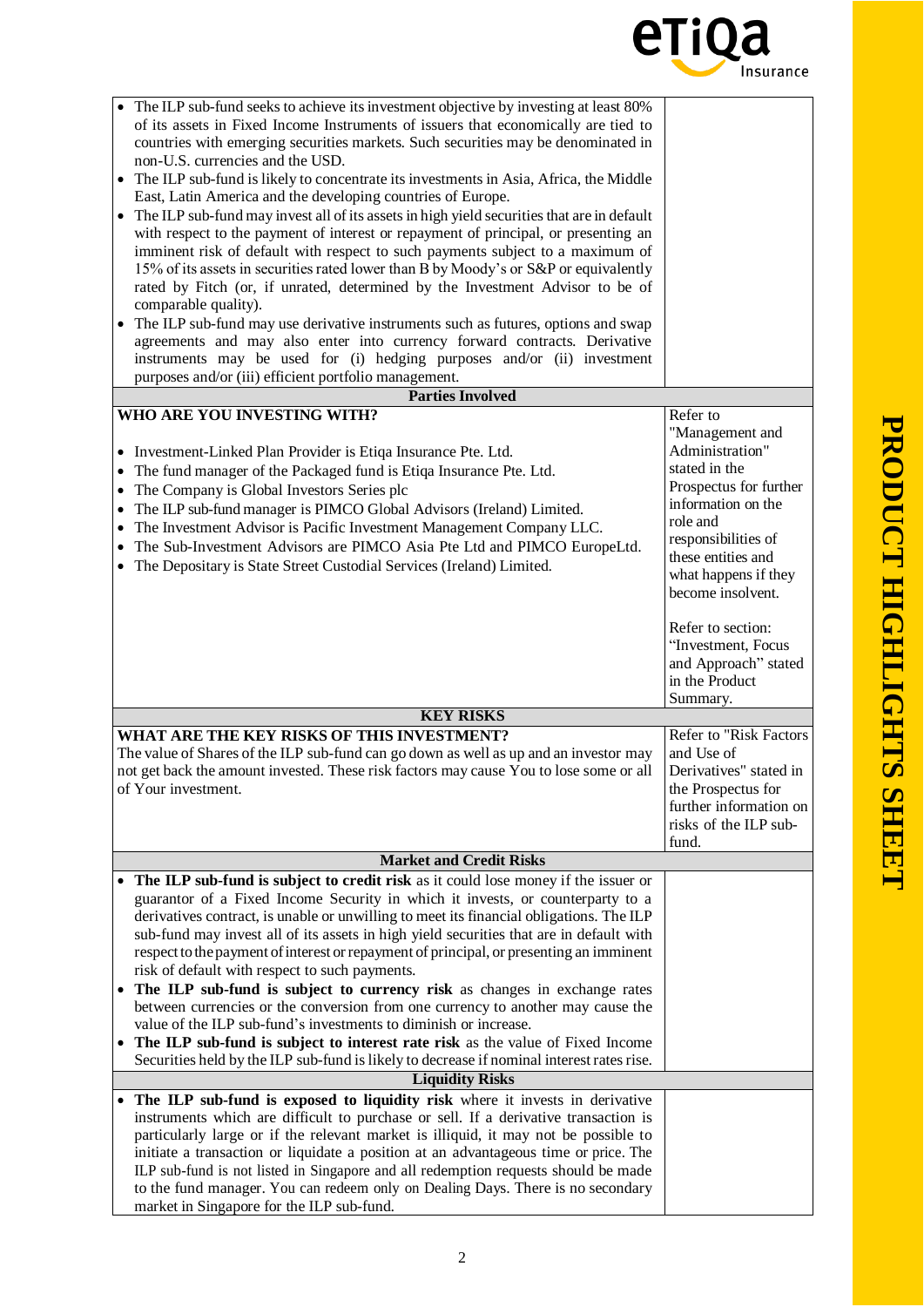

| The ILP sub-fund seeks to achieve its investment objective by investing at least 80%<br>of its assets in Fixed Income Instruments of issuers that economically are tied to<br>countries with emerging securities markets. Such securities may be denominated in<br>non-U.S. currencies and the USD.<br>The ILP sub-fund is likely to concentrate its investments in Asia, Africa, the Middle<br>$\bullet$<br>East, Latin America and the developing countries of Europe.<br>• The ILP sub-fund may invest all of its assets in high yield securities that are in default<br>with respect to the payment of interest or repayment of principal, or presenting an<br>imminent risk of default with respect to such payments subject to a maximum of<br>15% of its assets in securities rated lower than B by Moody's or S&P or equivalently<br>rated by Fitch (or, if unrated, determined by the Investment Advisor to be of<br>comparable quality).<br>The ILP sub-fund may use derivative instruments such as futures, options and swap<br>agreements and may also enter into currency forward contracts. Derivative<br>instruments may be used for (i) hedging purposes and/or (ii) investment |                                                                                                                                                                                                                       |
|-------------------------------------------------------------------------------------------------------------------------------------------------------------------------------------------------------------------------------------------------------------------------------------------------------------------------------------------------------------------------------------------------------------------------------------------------------------------------------------------------------------------------------------------------------------------------------------------------------------------------------------------------------------------------------------------------------------------------------------------------------------------------------------------------------------------------------------------------------------------------------------------------------------------------------------------------------------------------------------------------------------------------------------------------------------------------------------------------------------------------------------------------------------------------------------------------|-----------------------------------------------------------------------------------------------------------------------------------------------------------------------------------------------------------------------|
| purposes and/or (iii) efficient portfolio management.                                                                                                                                                                                                                                                                                                                                                                                                                                                                                                                                                                                                                                                                                                                                                                                                                                                                                                                                                                                                                                                                                                                                           |                                                                                                                                                                                                                       |
| <b>Parties Involved</b>                                                                                                                                                                                                                                                                                                                                                                                                                                                                                                                                                                                                                                                                                                                                                                                                                                                                                                                                                                                                                                                                                                                                                                         |                                                                                                                                                                                                                       |
| WHO ARE YOU INVESTING WITH?<br>• Investment-Linked Plan Provider is Etiqa Insurance Pte. Ltd.<br>The fund manager of the Packaged fund is Etiqa Insurance Pte. Ltd.<br>The Company is Global Investors Series plc<br>$\bullet$<br>The ILP sub-fund manager is PIMCO Global Advisors (Ireland) Limited.<br>The Investment Advisor is Pacific Investment Management Company LLC.<br>The Sub-Investment Advisors are PIMCO Asia Pte Ltd and PIMCO EuropeLtd.<br>The Depositary is State Street Custodial Services (Ireland) Limited.                                                                                                                                                                                                                                                                                                                                                                                                                                                                                                                                                                                                                                                               | Refer to<br>"Management and<br>Administration"<br>stated in the<br>Prospectus for further<br>information on the<br>role and<br>responsibilities of<br>these entities and<br>what happens if they<br>become insolvent. |
| <b>KEY RISKS</b>                                                                                                                                                                                                                                                                                                                                                                                                                                                                                                                                                                                                                                                                                                                                                                                                                                                                                                                                                                                                                                                                                                                                                                                | Refer to section:<br>"Investment, Focus<br>and Approach" stated<br>in the Product<br>Summary.                                                                                                                         |
| WHAT ARE THE KEY RISKS OF THIS INVESTMENT?                                                                                                                                                                                                                                                                                                                                                                                                                                                                                                                                                                                                                                                                                                                                                                                                                                                                                                                                                                                                                                                                                                                                                      | Refer to "Risk Factors                                                                                                                                                                                                |
| The value of Shares of the ILP sub-fund can go down as well as up and an investor may<br>not get back the amount invested. These risk factors may cause You to lose some or all<br>of Your investment.                                                                                                                                                                                                                                                                                                                                                                                                                                                                                                                                                                                                                                                                                                                                                                                                                                                                                                                                                                                          | and Use of<br>Derivatives" stated in<br>the Prospectus for<br>further information on<br>risks of the ILP sub-<br>fund.                                                                                                |
| <b>Market and Credit Risks</b>                                                                                                                                                                                                                                                                                                                                                                                                                                                                                                                                                                                                                                                                                                                                                                                                                                                                                                                                                                                                                                                                                                                                                                  |                                                                                                                                                                                                                       |
| • The ILP sub-fund is subject to credit risk as it could lose money if the issuer or<br>guarantor of a Fixed Income Security in which it invests, or counterparty to a<br>derivatives contract, is unable or unwilling to meet its financial obligations. The ILP<br>sub-fund may invest all of its assets in high yield securities that are in default with<br>respect to the payment of interest or repayment of principal, or presenting an imminent<br>risk of default with respect to such payments.<br>The ILP sub-fund is subject to currency risk as changes in exchange rates<br>$\bullet$<br>between currencies or the conversion from one currency to another may cause the<br>value of the ILP sub-fund's investments to diminish or increase.<br>The ILP sub-fund is subject to interest rate risk as the value of Fixed Income<br>$\bullet$<br>Securities held by the ILP sub-fund is likely to decrease if nominal interest rates rise.                                                                                                                                                                                                                                          |                                                                                                                                                                                                                       |
| <b>Liquidity Risks</b>                                                                                                                                                                                                                                                                                                                                                                                                                                                                                                                                                                                                                                                                                                                                                                                                                                                                                                                                                                                                                                                                                                                                                                          |                                                                                                                                                                                                                       |
| The ILP sub-fund is exposed to liquidity risk where it invests in derivative<br>$\bullet$<br>instruments which are difficult to purchase or sell. If a derivative transaction is<br>particularly large or if the relevant market is illiquid, it may not be possible to<br>initiate a transaction or liquidate a position at an advantageous time or price. The<br>ILP sub-fund is not listed in Singapore and all redemption requests should be made<br>to the fund manager. You can redeem only on Dealing Days. There is no secondary<br>market in Singapore for the ILP sub-fund.                                                                                                                                                                                                                                                                                                                                                                                                                                                                                                                                                                                                           |                                                                                                                                                                                                                       |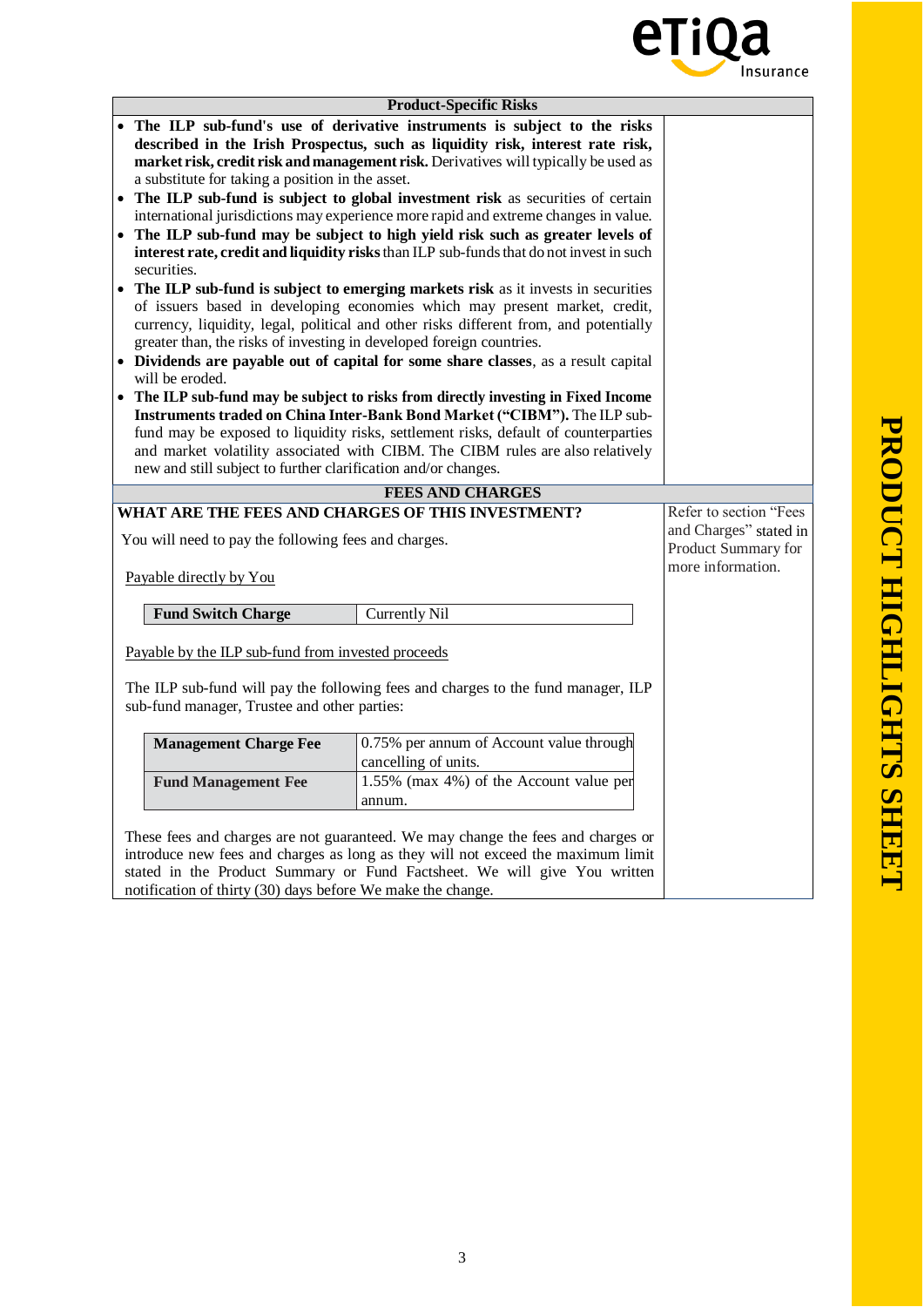

| <b>Product-Specific Risks</b>                                                       |                                                                                                                                                               |                                          |                        |  |
|-------------------------------------------------------------------------------------|---------------------------------------------------------------------------------------------------------------------------------------------------------------|------------------------------------------|------------------------|--|
|                                                                                     | The ILP sub-fund's use of derivative instruments is subject to the risks                                                                                      |                                          |                        |  |
| described in the Irish Prospectus, such as liquidity risk, interest rate risk,      |                                                                                                                                                               |                                          |                        |  |
| market risk, credit risk and management risk. Derivatives will typically be used as |                                                                                                                                                               |                                          |                        |  |
| a substitute for taking a position in the asset.                                    |                                                                                                                                                               |                                          |                        |  |
| The ILP sub-fund is subject to global investment risk as securities of certain      |                                                                                                                                                               |                                          |                        |  |
| international jurisdictions may experience more rapid and extreme changes in value. |                                                                                                                                                               |                                          |                        |  |
| The ILP sub-fund may be subject to high yield risk such as greater levels of        |                                                                                                                                                               |                                          |                        |  |
|                                                                                     | interest rate, credit and liquidity risks than ILP sub-funds that do not invest in such                                                                       |                                          |                        |  |
| securities.                                                                         |                                                                                                                                                               |                                          |                        |  |
|                                                                                     | The ILP sub-fund is subject to emerging markets risk as it invests in securities                                                                              |                                          |                        |  |
| of issuers based in developing economies which may present market, credit,          |                                                                                                                                                               |                                          |                        |  |
|                                                                                     | currency, liquidity, legal, political and other risks different from, and potentially                                                                         |                                          |                        |  |
| greater than, the risks of investing in developed foreign countries.                |                                                                                                                                                               |                                          |                        |  |
|                                                                                     | • Dividends are payable out of capital for some share classes, as a result capital                                                                            |                                          |                        |  |
| will be eroded.                                                                     |                                                                                                                                                               |                                          |                        |  |
|                                                                                     | • The ILP sub-fund may be subject to risks from directly investing in Fixed Income                                                                            |                                          |                        |  |
|                                                                                     | Instruments traded on China Inter-Bank Bond Market ("CIBM"). The ILP sub-                                                                                     |                                          |                        |  |
|                                                                                     | fund may be exposed to liquidity risks, settlement risks, default of counterparties                                                                           |                                          |                        |  |
| new and still subject to further clarification and/or changes.                      | and market volatility associated with CIBM. The CIBM rules are also relatively                                                                                |                                          |                        |  |
|                                                                                     |                                                                                                                                                               |                                          |                        |  |
|                                                                                     | <b>FEES AND CHARGES</b>                                                                                                                                       |                                          |                        |  |
| WHAT ARE THE FEES AND CHARGES OF THIS INVESTMENT?                                   |                                                                                                                                                               |                                          | Refer to section "Fees |  |
| You will need to pay the following fees and charges.                                |                                                                                                                                                               | and Charges" stated in                   |                        |  |
|                                                                                     |                                                                                                                                                               | Product Summary for<br>more information. |                        |  |
| Payable directly by You                                                             |                                                                                                                                                               |                                          |                        |  |
|                                                                                     |                                                                                                                                                               |                                          |                        |  |
| <b>Fund Switch Charge</b>                                                           | <b>Currently Nil</b>                                                                                                                                          |                                          |                        |  |
|                                                                                     |                                                                                                                                                               |                                          |                        |  |
| Payable by the ILP sub-fund from invested proceeds                                  |                                                                                                                                                               |                                          |                        |  |
|                                                                                     |                                                                                                                                                               |                                          |                        |  |
|                                                                                     |                                                                                                                                                               |                                          |                        |  |
|                                                                                     | The ILP sub-fund will pay the following fees and charges to the fund manager, ILP                                                                             |                                          |                        |  |
| sub-fund manager, Trustee and other parties:                                        |                                                                                                                                                               |                                          |                        |  |
|                                                                                     |                                                                                                                                                               |                                          |                        |  |
| <b>Management Charge Fee</b>                                                        | 0.75% per annum of Account value through                                                                                                                      |                                          |                        |  |
|                                                                                     | cancelling of units.                                                                                                                                          |                                          |                        |  |
| <b>Fund Management Fee</b>                                                          | 1.55% (max 4%) of the Account value per                                                                                                                       |                                          |                        |  |
|                                                                                     | annum.                                                                                                                                                        |                                          |                        |  |
|                                                                                     |                                                                                                                                                               |                                          |                        |  |
|                                                                                     | These fees and charges are not guaranteed. We may change the fees and charges or                                                                              |                                          |                        |  |
|                                                                                     | introduce new fees and charges as long as they will not exceed the maximum limit<br>stated in the Product Summary or Fund Factsheet. We will give You written |                                          |                        |  |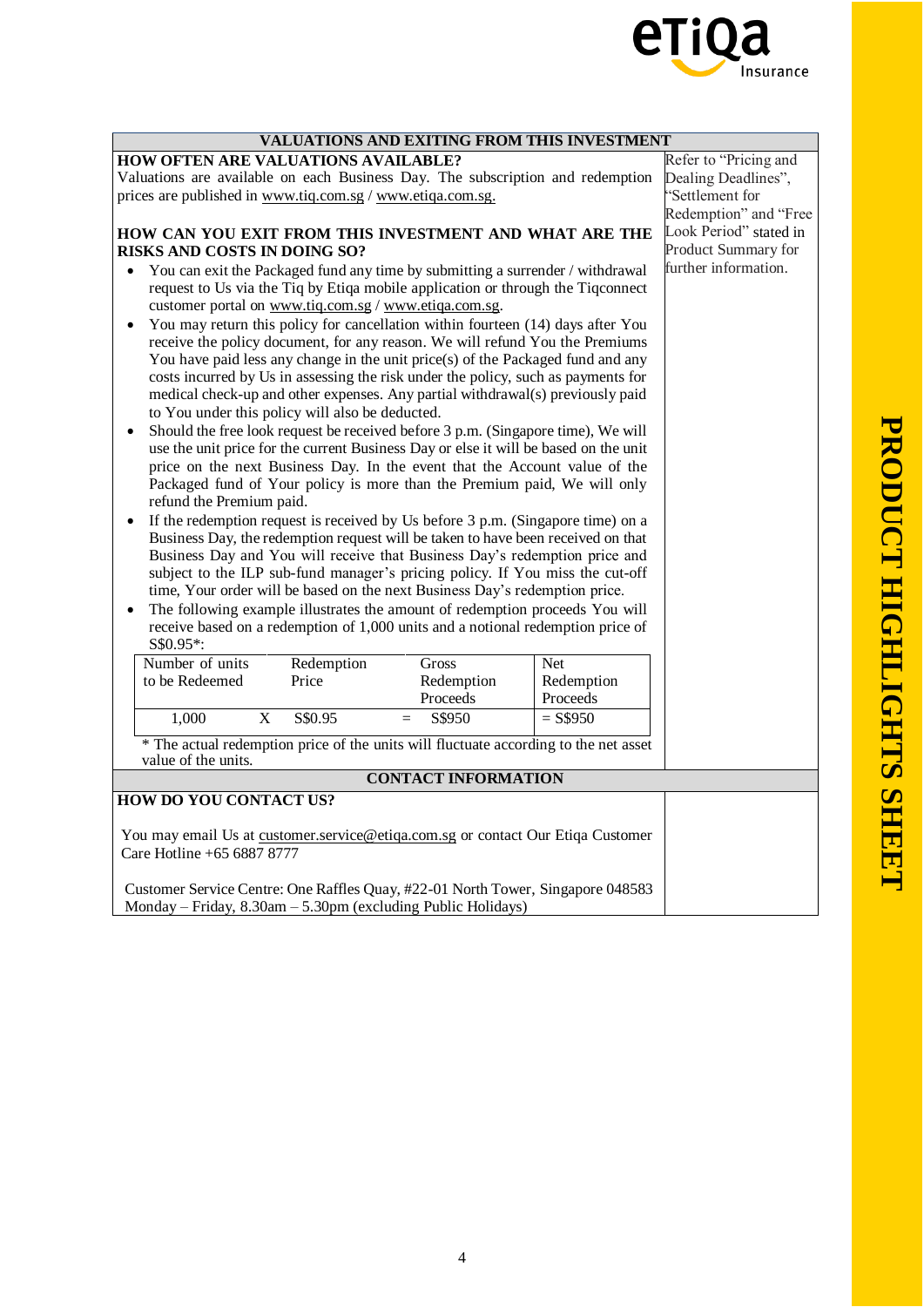

| <b>VALUATIONS AND EXITING FROM THIS INVESTMENT</b>                                                                                                                                                                                                                                                                                                                                                                                                                                                                                                                                                                                                                                                                                                                                                                                                                                                                                                                                                                                                                                                  |                            |  |  |  |  |  |
|-----------------------------------------------------------------------------------------------------------------------------------------------------------------------------------------------------------------------------------------------------------------------------------------------------------------------------------------------------------------------------------------------------------------------------------------------------------------------------------------------------------------------------------------------------------------------------------------------------------------------------------------------------------------------------------------------------------------------------------------------------------------------------------------------------------------------------------------------------------------------------------------------------------------------------------------------------------------------------------------------------------------------------------------------------------------------------------------------------|----------------------------|--|--|--|--|--|
| <b>HOW OFTEN ARE VALUATIONS AVAILABLE?</b>                                                                                                                                                                                                                                                                                                                                                                                                                                                                                                                                                                                                                                                                                                                                                                                                                                                                                                                                                                                                                                                          | Refer to "Pricing and      |  |  |  |  |  |
| Valuations are available on each Business Day. The subscription and redemption                                                                                                                                                                                                                                                                                                                                                                                                                                                                                                                                                                                                                                                                                                                                                                                                                                                                                                                                                                                                                      | Dealing Deadlines",        |  |  |  |  |  |
| prices are published in www.tiq.com.sg / www.etiqa.com.sg.                                                                                                                                                                                                                                                                                                                                                                                                                                                                                                                                                                                                                                                                                                                                                                                                                                                                                                                                                                                                                                          | 'Settlement for            |  |  |  |  |  |
|                                                                                                                                                                                                                                                                                                                                                                                                                                                                                                                                                                                                                                                                                                                                                                                                                                                                                                                                                                                                                                                                                                     | Redemption" and "Free      |  |  |  |  |  |
| HOW CAN YOU EXIT FROM THIS INVESTMENT AND WHAT ARE THE                                                                                                                                                                                                                                                                                                                                                                                                                                                                                                                                                                                                                                                                                                                                                                                                                                                                                                                                                                                                                                              | Look Period" stated in     |  |  |  |  |  |
| RISKS AND COSTS IN DOING SO?                                                                                                                                                                                                                                                                                                                                                                                                                                                                                                                                                                                                                                                                                                                                                                                                                                                                                                                                                                                                                                                                        | <b>Product Summary for</b> |  |  |  |  |  |
| You can exit the Packaged fund any time by submitting a surrender / withdrawal<br>request to Us via the Tiq by Etiqa mobile application or through the Tiqconnect<br>customer portal on www.tiq.com.sg / www.etiqa.com.sg.                                                                                                                                                                                                                                                                                                                                                                                                                                                                                                                                                                                                                                                                                                                                                                                                                                                                          | further information.       |  |  |  |  |  |
| You may return this policy for cancellation within fourteen (14) days after You<br>$\bullet$<br>receive the policy document, for any reason. We will refund You the Premiums<br>You have paid less any change in the unit price(s) of the Packaged fund and any<br>costs incurred by Us in assessing the risk under the policy, such as payments for<br>medical check-up and other expenses. Any partial withdrawal(s) previously paid                                                                                                                                                                                                                                                                                                                                                                                                                                                                                                                                                                                                                                                              |                            |  |  |  |  |  |
| to You under this policy will also be deducted.                                                                                                                                                                                                                                                                                                                                                                                                                                                                                                                                                                                                                                                                                                                                                                                                                                                                                                                                                                                                                                                     |                            |  |  |  |  |  |
| Should the free look request be received before 3 p.m. (Singapore time), We will<br>use the unit price for the current Business Day or else it will be based on the unit<br>price on the next Business Day. In the event that the Account value of the<br>Packaged fund of Your policy is more than the Premium paid, We will only<br>refund the Premium paid.<br>If the redemption request is received by Us before 3 p.m. (Singapore time) on a<br>Business Day, the redemption request will be taken to have been received on that<br>Business Day and You will receive that Business Day's redemption price and<br>subject to the ILP sub-fund manager's pricing policy. If You miss the cut-off<br>time, Your order will be based on the next Business Day's redemption price.<br>The following example illustrates the amount of redemption proceeds You will<br>receive based on a redemption of 1,000 units and a notional redemption price of<br>S\$0.95*:<br>Number of units<br>Redemption<br>Gross<br>Net<br>to be Redeemed<br>Price<br>Redemption<br>Redemption<br>Proceeds<br>Proceeds |                            |  |  |  |  |  |
| $\mathbf X$<br>S\$0.95<br>1,000<br>$=$<br>S\$950                                                                                                                                                                                                                                                                                                                                                                                                                                                                                                                                                                                                                                                                                                                                                                                                                                                                                                                                                                                                                                                    | $=$ S\$950                 |  |  |  |  |  |
| * The actual redemption price of the units will fluctuate according to the net asset                                                                                                                                                                                                                                                                                                                                                                                                                                                                                                                                                                                                                                                                                                                                                                                                                                                                                                                                                                                                                |                            |  |  |  |  |  |
| value of the units.                                                                                                                                                                                                                                                                                                                                                                                                                                                                                                                                                                                                                                                                                                                                                                                                                                                                                                                                                                                                                                                                                 |                            |  |  |  |  |  |
| <b>CONTACT INFORMATION</b>                                                                                                                                                                                                                                                                                                                                                                                                                                                                                                                                                                                                                                                                                                                                                                                                                                                                                                                                                                                                                                                                          |                            |  |  |  |  |  |
| HOW DO YOU CONTACT US?                                                                                                                                                                                                                                                                                                                                                                                                                                                                                                                                                                                                                                                                                                                                                                                                                                                                                                                                                                                                                                                                              |                            |  |  |  |  |  |
| You may email Us at customer.service@etiqa.com.sg or contact Our Etiqa Customer<br>Care Hotline +65 6887 8777<br>Customer Service Centre: One Raffles Quay, #22-01 North Tower, Singapore 048583                                                                                                                                                                                                                                                                                                                                                                                                                                                                                                                                                                                                                                                                                                                                                                                                                                                                                                    |                            |  |  |  |  |  |
| Monday - Friday, 8.30am - 5.30pm (excluding Public Holidays)                                                                                                                                                                                                                                                                                                                                                                                                                                                                                                                                                                                                                                                                                                                                                                                                                                                                                                                                                                                                                                        |                            |  |  |  |  |  |